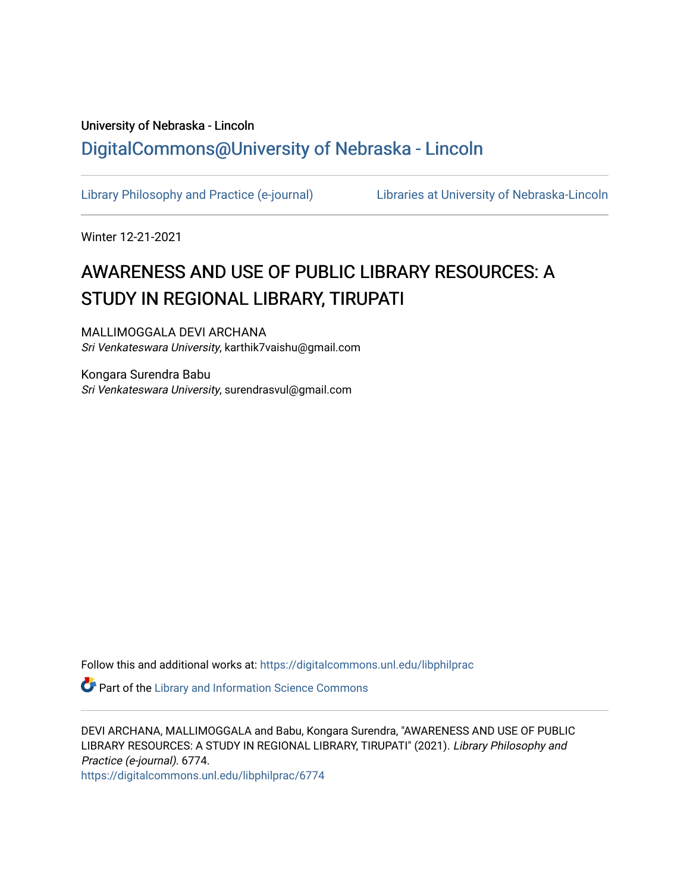## University of Nebraska - Lincoln [DigitalCommons@University of Nebraska - Lincoln](https://digitalcommons.unl.edu/)

[Library Philosophy and Practice \(e-journal\)](https://digitalcommons.unl.edu/libphilprac) [Libraries at University of Nebraska-Lincoln](https://digitalcommons.unl.edu/libraries) 

Winter 12-21-2021

# AWARENESS AND USE OF PUBLIC LIBRARY RESOURCES: A STUDY IN REGIONAL LIBRARY, TIRUPATI

MALLIMOGGALA DEVI ARCHANA Sri Venkateswara University, karthik7vaishu@gmail.com

Kongara Surendra Babu Sri Venkateswara University, surendrasvul@gmail.com

Follow this and additional works at: [https://digitalcommons.unl.edu/libphilprac](https://digitalcommons.unl.edu/libphilprac?utm_source=digitalcommons.unl.edu%2Flibphilprac%2F6774&utm_medium=PDF&utm_campaign=PDFCoverPages) 

**P** Part of the Library and Information Science Commons

DEVI ARCHANA, MALLIMOGGALA and Babu, Kongara Surendra, "AWARENESS AND USE OF PUBLIC LIBRARY RESOURCES: A STUDY IN REGIONAL LIBRARY, TIRUPATI" (2021). Library Philosophy and Practice (e-journal). 6774.

[https://digitalcommons.unl.edu/libphilprac/6774](https://digitalcommons.unl.edu/libphilprac/6774?utm_source=digitalcommons.unl.edu%2Flibphilprac%2F6774&utm_medium=PDF&utm_campaign=PDFCoverPages)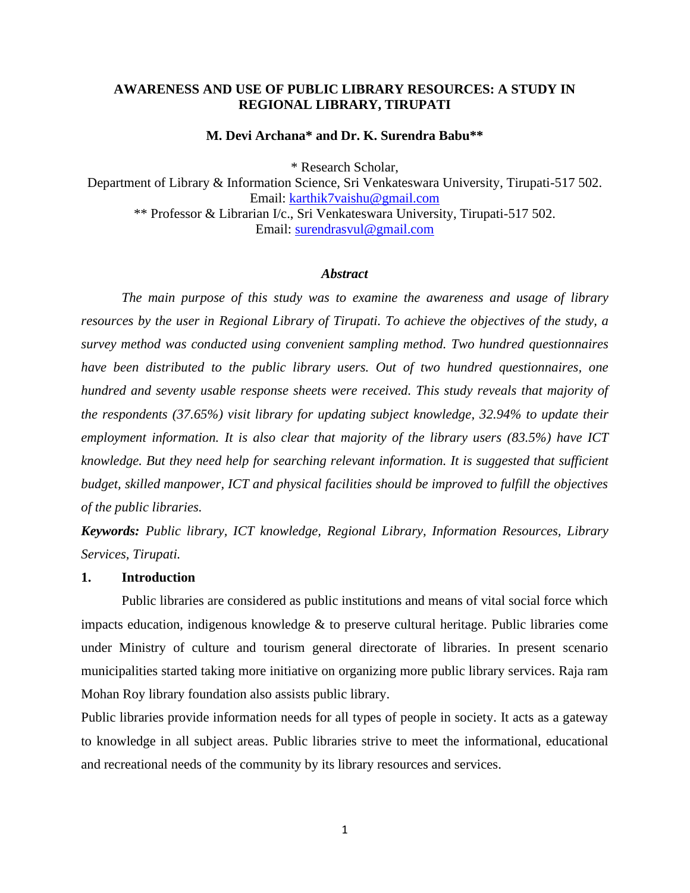## **AWARENESS AND USE OF PUBLIC LIBRARY RESOURCES: A STUDY IN REGIONAL LIBRARY, TIRUPATI**

#### **M. Devi Archana\* and Dr. K. Surendra Babu\*\***

\* Research Scholar,

Department of Library & Information Science, Sri Venkateswara University, Tirupati-517 502. Email: [karthik7vaishu@gmail.com](mailto:karthik7vaishu@gmail.com) \*\* Professor & Librarian I/c., Sri Venkateswara University, Tirupati-517 502. Email: [surendrasvul@gmail.com](mailto:surendrasvul@gmail.com)

#### *Abstract*

*The main purpose of this study was to examine the awareness and usage of library resources by the user in Regional Library of Tirupati. To achieve the objectives of the study, a survey method was conducted using convenient sampling method. Two hundred questionnaires have been distributed to the public library users. Out of two hundred questionnaires, one hundred and seventy usable response sheets were received. This study reveals that majority of the respondents (37.65%) visit library for updating subject knowledge, 32.94% to update their employment information. It is also clear that majority of the library users (83.5%) have ICT knowledge. But they need help for searching relevant information. It is suggested that sufficient budget, skilled manpower, ICT and physical facilities should be improved to fulfill the objectives of the public libraries.*

*Keywords: Public library, ICT knowledge, Regional Library, Information Resources, Library Services, Tirupati.*

#### **1. Introduction**

Public libraries are considered as public institutions and means of vital social force which impacts education, indigenous knowledge & to preserve cultural heritage. Public libraries come under Ministry of culture and tourism general directorate of libraries. In present scenario municipalities started taking more initiative on organizing more public library services. Raja ram Mohan Roy library foundation also assists public library.

Public libraries provide information needs for all types of people in society. It acts as a gateway to knowledge in all subject areas. Public libraries strive to meet the informational, educational and recreational needs of the community by its library resources and services.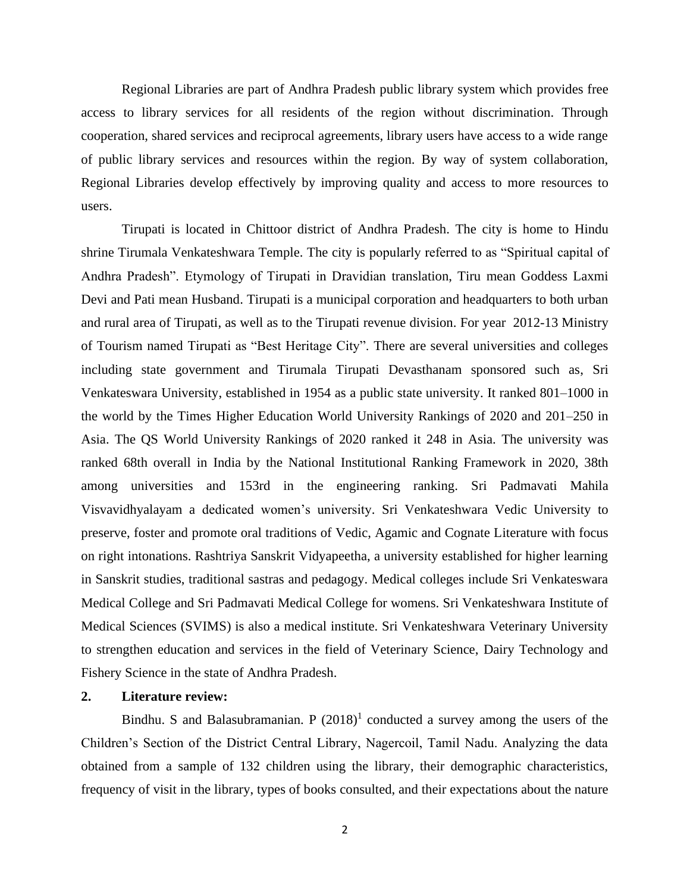Regional Libraries are part of Andhra Pradesh public library system which provides free access to library services for all residents of the region without discrimination. Through cooperation, shared services and reciprocal agreements, library users have access to a wide range of public library services and resources within the region. By way of system collaboration, Regional Libraries develop effectively by improving quality and access to more resources to users.

Tirupati is located in Chittoor district of Andhra Pradesh. The city is home to Hindu shrine Tirumala Venkateshwara Temple. The city is popularly referred to as "Spiritual capital of Andhra Pradesh". Etymology of Tirupati in Dravidian translation, Tiru mean Goddess Laxmi Devi and Pati mean Husband. Tirupati is a municipal corporation and headquarters to both urban and rural area of Tirupati, as well as to the Tirupati revenue division. For year 2012-13 Ministry of Tourism named Tirupati as "Best Heritage City". There are several universities and colleges including state government and Tirumala Tirupati Devasthanam sponsored such as, Sri Venkateswara University, established in 1954 as a public state university. It ranked 801–1000 in the world by the Times Higher Education World University Rankings of 2020 and 201–250 in Asia. The QS World University Rankings of 2020 ranked it 248 in Asia. The university was ranked 68th overall in India by the National Institutional Ranking Framework in 2020, 38th among universities and 153rd in the engineering ranking. Sri Padmavati Mahila Visvavidhyalayam a dedicated women's university. Sri Venkateshwara Vedic University to preserve, foster and promote oral traditions of Vedic, Agamic and Cognate Literature with focus on right intonations. Rashtriya Sanskrit Vidyapeetha, a university established for higher learning in Sanskrit studies, traditional sastras and pedagogy. Medical colleges include Sri Venkateswara Medical College and Sri Padmavati Medical College for womens. Sri Venkateshwara Institute of Medical Sciences (SVIMS) is also a medical institute. Sri Venkateshwara Veterinary University to strengthen education and services in the field of Veterinary Science, Dairy Technology and Fishery Science in the state of Andhra Pradesh.

## **2. Literature review:**

Bindhu. S and Balasubramanian. P  $(2018)^1$  conducted a survey among the users of the Children's Section of the District Central Library, Nagercoil, Tamil Nadu. Analyzing the data obtained from a sample of 132 children using the library, their demographic characteristics, frequency of visit in the library, types of books consulted, and their expectations about the nature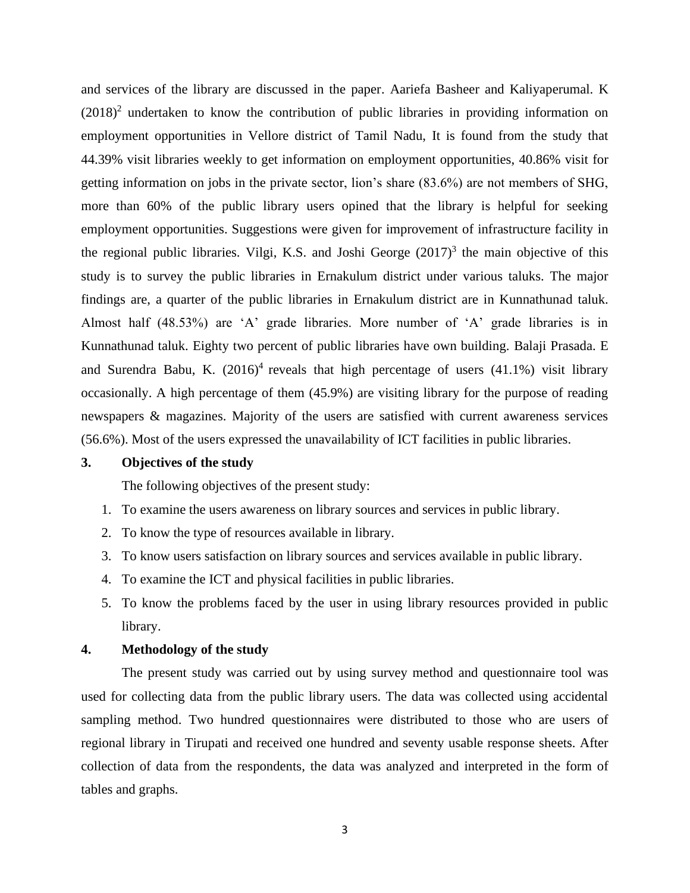and services of the library are discussed in the paper. Aariefa Basheer and Kaliyaperumal. K  $(2018)^2$  undertaken to know the contribution of public libraries in providing information on employment opportunities in Vellore district of Tamil Nadu, It is found from the study that 44.39% visit libraries weekly to get information on employment opportunities, 40.86% visit for getting information on jobs in the private sector, lion's share (83.6%) are not members of SHG, more than 60% of the public library users opined that the library is helpful for seeking employment opportunities. Suggestions were given for improvement of infrastructure facility in the regional public libraries. Vilgi, K.S. and Joshi George  $(2017)^3$  the main objective of this study is to survey the public libraries in Ernakulum district under various taluks. The major findings are, a quarter of the public libraries in Ernakulum district are in Kunnathunad taluk. Almost half (48.53%) are 'A' grade libraries. More number of 'A' grade libraries is in Kunnathunad taluk. Eighty two percent of public libraries have own building. Balaji Prasada. E and Surendra Babu, K.  $(2016)^4$  reveals that high percentage of users  $(41.1\%)$  visit library occasionally. A high percentage of them (45.9%) are visiting library for the purpose of reading newspapers & magazines. Majority of the users are satisfied with current awareness services (56.6%). Most of the users expressed the unavailability of ICT facilities in public libraries.

#### **3. Objectives of the study**

The following objectives of the present study:

- 1. To examine the users awareness on library sources and services in public library.
- 2. To know the type of resources available in library.
- 3. To know users satisfaction on library sources and services available in public library.
- 4. To examine the ICT and physical facilities in public libraries.
- 5. To know the problems faced by the user in using library resources provided in public library.

#### **4. Methodology of the study**

The present study was carried out by using survey method and questionnaire tool was used for collecting data from the public library users. The data was collected using accidental sampling method. Two hundred questionnaires were distributed to those who are users of regional library in Tirupati and received one hundred and seventy usable response sheets. After collection of data from the respondents, the data was analyzed and interpreted in the form of tables and graphs.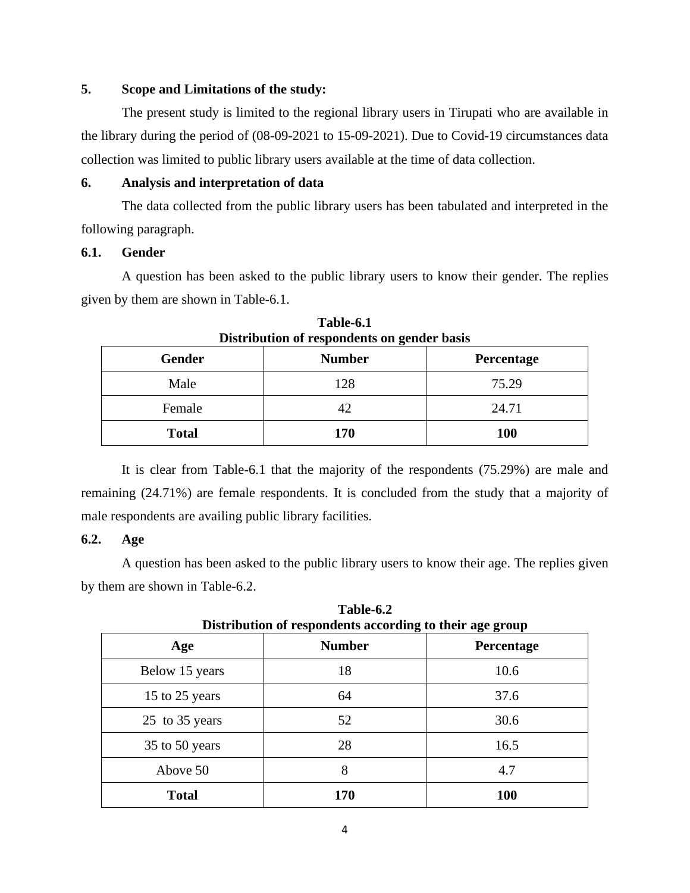## **5. Scope and Limitations of the study:**

The present study is limited to the regional library users in Tirupati who are available in the library during the period of (08-09-2021 to 15-09-2021). Due to Covid-19 circumstances data collection was limited to public library users available at the time of data collection.

## **6. Analysis and interpretation of data**

The data collected from the public library users has been tabulated and interpreted in the following paragraph.

## **6.1. Gender**

A question has been asked to the public library users to know their gender. The replies given by them are shown in Table-6.1.

| Distribution of respondents on gender basis |               |                   |
|---------------------------------------------|---------------|-------------------|
| Gender                                      | <b>Number</b> | <b>Percentage</b> |
| Male                                        | 128           | 75.29             |
| Female                                      | 42            | 24.71             |
| <b>Total</b>                                | 170           | <b>100</b>        |

**Table-6.1 Distribution of respondents on gender basis**

It is clear from Table-6.1 that the majority of the respondents (75.29%) are male and remaining (24.71%) are female respondents. It is concluded from the study that a majority of male respondents are availing public library facilities.

## **6.2. Age**

A question has been asked to the public library users to know their age. The replies given by them are shown in Table-6.2.

| Distribution of respondents according to their age group |               |            |
|----------------------------------------------------------|---------------|------------|
| Age                                                      | <b>Number</b> | Percentage |
| Below 15 years                                           | 18            | 10.6       |
| 15 to 25 years                                           | 64            | 37.6       |
| 25 to 35 years                                           | 52            | 30.6       |
| 35 to 50 years                                           | 28            | 16.5       |
| Above 50                                                 | 8             | 4.7        |
| <b>Total</b>                                             | 170           | <b>100</b> |

**Table-6.2 Distribution of respondents according to their age group**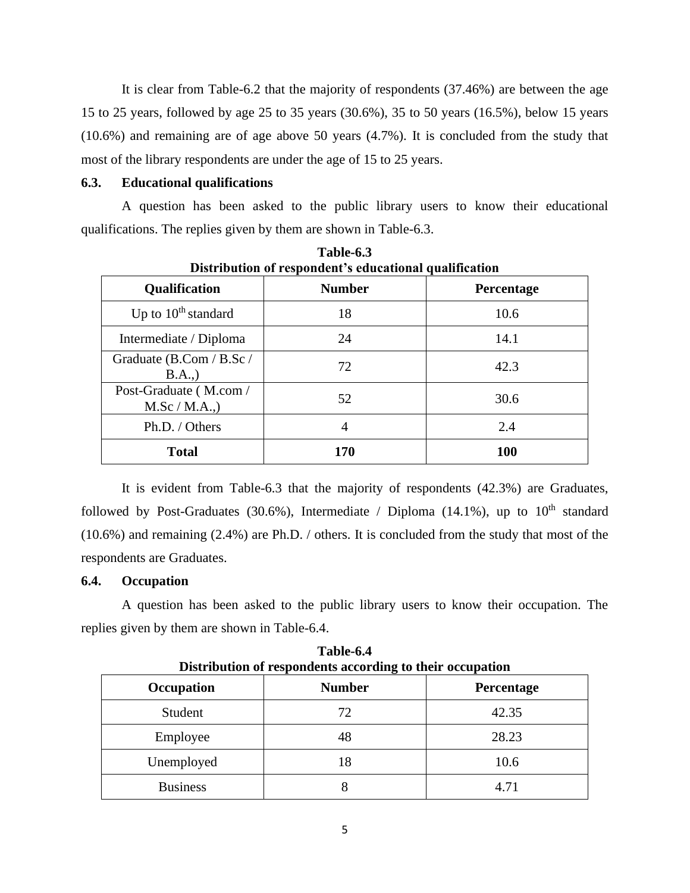It is clear from Table-6.2 that the majority of respondents (37.46%) are between the age 15 to 25 years, followed by age 25 to 35 years (30.6%), 35 to 50 years (16.5%), below 15 years (10.6%) and remaining are of age above 50 years (4.7%). It is concluded from the study that most of the library respondents are under the age of 15 to 25 years.

## **6.3. Educational qualifications**

A question has been asked to the public library users to know their educational qualifications. The replies given by them are shown in Table-6.3.

| Distribution of respondent's educational qualification |                |            |
|--------------------------------------------------------|----------------|------------|
| <b>Qualification</b>                                   | <b>Number</b>  | Percentage |
| Up to $10th$ standard                                  | 18             | 10.6       |
| Intermediate / Diploma                                 | 24             | 14.1       |
| Graduate (B.Com / B.Sc /<br>B.A.,                      | 72             | 42.3       |
| Post-Graduate (M.com/<br>M.Sc/M.A.,                    | 52             | 30.6       |
| Ph.D. / Others                                         | $\overline{4}$ | 2.4        |
| <b>Total</b>                                           | 170            | <b>100</b> |

**Table-6.3**

It is evident from Table-6.3 that the majority of respondents (42.3%) are Graduates, followed by Post-Graduates (30.6%), Intermediate / Diploma (14.1%), up to  $10^{th}$  standard (10.6%) and remaining (2.4%) are Ph.D. / others. It is concluded from the study that most of the respondents are Graduates.

## **6.4. Occupation**

A question has been asked to the public library users to know their occupation. The replies given by them are shown in Table-6.4.

| Distribution of respondents according to their occupation |               |            |
|-----------------------------------------------------------|---------------|------------|
| <b>Occupation</b>                                         | <b>Number</b> | Percentage |
| Student                                                   | 72            | 42.35      |
| Employee                                                  | 48            | 28.23      |
| Unemployed                                                | 18            | 10.6       |
| <b>Business</b>                                           | 8             | 4.71       |

**Table-6.4 Distribution of respondents according to their occupation**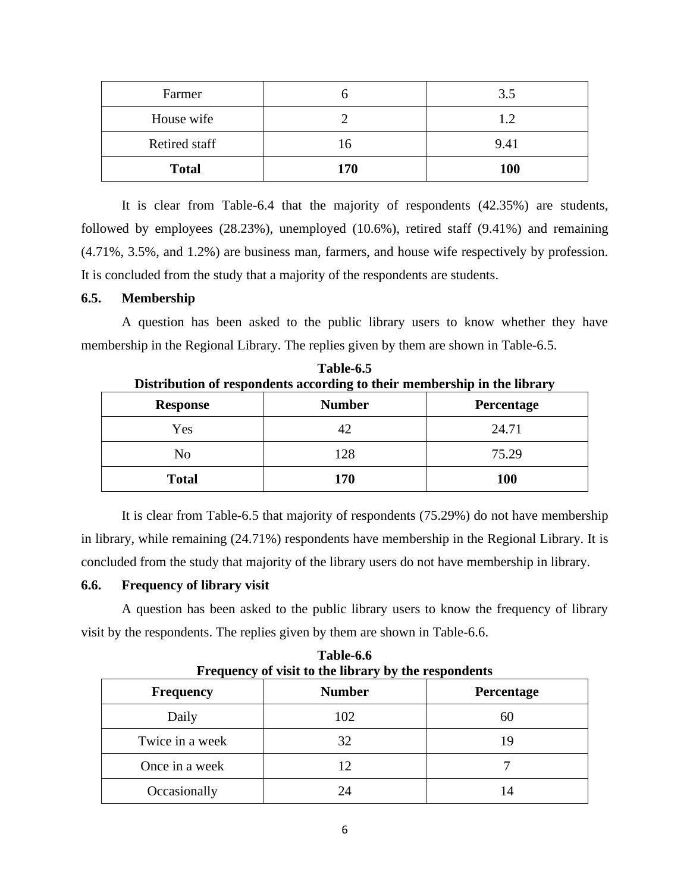| Farmer        |     | 3.5        |
|---------------|-----|------------|
| House wife    |     | 12         |
| Retired staff | 16  | 9.41       |
| <b>Total</b>  | 170 | <b>100</b> |

It is clear from Table-6.4 that the majority of respondents (42.35%) are students, followed by employees (28.23%), unemployed (10.6%), retired staff (9.41%) and remaining (4.71%, 3.5%, and 1.2%) are business man, farmers, and house wife respectively by profession. It is concluded from the study that a majority of the respondents are students.

## **6.5. Membership**

A question has been asked to the public library users to know whether they have membership in the Regional Library. The replies given by them are shown in Table-6.5.

| <b>Response</b> | <b>Number</b> | Percentage |
|-----------------|---------------|------------|
| Yes             |               | 24.71      |
| No              | 128           | 75.29      |
| <b>Total</b>    | 170           | <b>100</b> |

**Table-6.5 Distribution of respondents according to their membership in the library**

It is clear from Table-6.5 that majority of respondents (75.29%) do not have membership in library, while remaining (24.71%) respondents have membership in the Regional Library. It is concluded from the study that majority of the library users do not have membership in library.

#### **6.6. Frequency of library visit**

A question has been asked to the public library users to know the frequency of library visit by the respondents. The replies given by them are shown in Table-6.6.

| Frequency of visit to the library by the respondents |               |            |
|------------------------------------------------------|---------------|------------|
| <b>Frequency</b>                                     | <b>Number</b> | Percentage |
| Daily                                                | 102           | 60         |
| Twice in a week                                      | 32            | 19         |
| Once in a week                                       |               |            |
| Occasionally                                         |               | 14         |

**Table-6.6**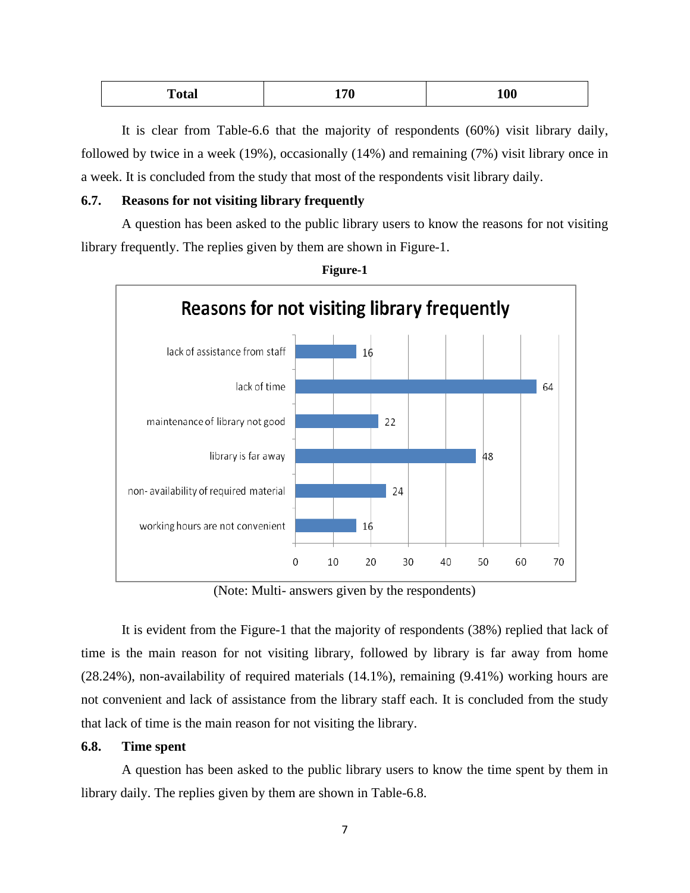| m<br><sup>r</sup> otal<br>- | 170 | 100 |
|-----------------------------|-----|-----|
|                             |     |     |

It is clear from Table-6.6 that the majority of respondents (60%) visit library daily, followed by twice in a week (19%), occasionally (14%) and remaining (7%) visit library once in a week. It is concluded from the study that most of the respondents visit library daily.

#### **6.7. Reasons for not visiting library frequently**

A question has been asked to the public library users to know the reasons for not visiting library frequently. The replies given by them are shown in Figure-1.



(Note: Multi- answers given by the respondents)

It is evident from the Figure-1 that the majority of respondents (38%) replied that lack of time is the main reason for not visiting library, followed by library is far away from home (28.24%), non-availability of required materials (14.1%), remaining (9.41%) working hours are not convenient and lack of assistance from the library staff each. It is concluded from the study that lack of time is the main reason for not visiting the library.

## **6.8. Time spent**

A question has been asked to the public library users to know the time spent by them in library daily. The replies given by them are shown in Table-6.8.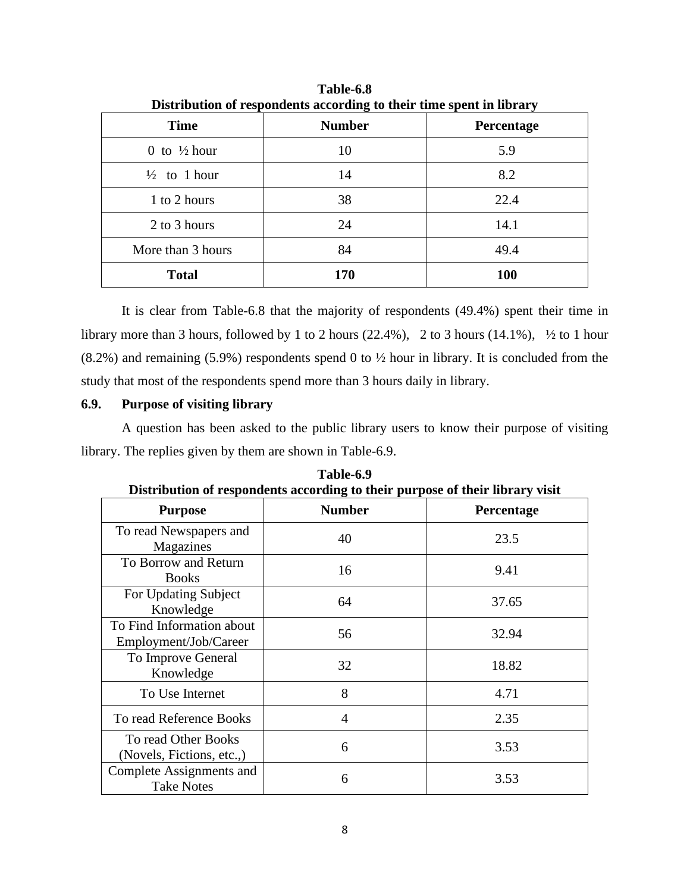| Distribution of respondents according to their third spent in horary |               |            |
|----------------------------------------------------------------------|---------------|------------|
| <b>Time</b>                                                          | <b>Number</b> | Percentage |
| 0 to $\frac{1}{2}$ hour                                              | 10            | 5.9        |
| $\frac{1}{2}$ to 1 hour                                              | 14            | 8.2        |
| 1 to 2 hours                                                         | 38            | 22.4       |
| 2 to 3 hours                                                         | 24            | 14.1       |
| More than 3 hours                                                    | 84            | 49.4       |
| <b>Total</b>                                                         | 170           | <b>100</b> |

**Table-6.8 Distribution of respondents according to their time spent in library**

It is clear from Table-6.8 that the majority of respondents (49.4%) spent their time in library more than 3 hours, followed by 1 to 2 hours (22.4%), 2 to 3 hours (14.1%), ½ to 1 hour (8.2%) and remaining (5.9%) respondents spend 0 to ½ hour in library. It is concluded from the study that most of the respondents spend more than 3 hours daily in library.

## **6.9. Purpose of visiting library**

A question has been asked to the public library users to know their purpose of visiting library. The replies given by them are shown in Table-6.9.

| рваточной от георонасны ассоганце го тиси рагровс от тиси потагу увят |               |            |
|-----------------------------------------------------------------------|---------------|------------|
| <b>Purpose</b>                                                        | <b>Number</b> | Percentage |
| To read Newspapers and<br>Magazines                                   | 40            | 23.5       |
| To Borrow and Return<br><b>Books</b>                                  | 16            | 9.41       |
| For Updating Subject<br>Knowledge                                     | 64            | 37.65      |
| To Find Information about<br>Employment/Job/Career                    | 56            | 32.94      |
| To Improve General<br>Knowledge                                       | 32            | 18.82      |
| To Use Internet                                                       | 8             | 4.71       |
| To read Reference Books                                               | 4             | 2.35       |
| To read Other Books<br>(Novels, Fictions, etc.,)                      | 6             | 3.53       |
| Complete Assignments and<br><b>Take Notes</b>                         | 6             | 3.53       |

**Table-6.9 Distribution of respondents according to their purpose of their library visit**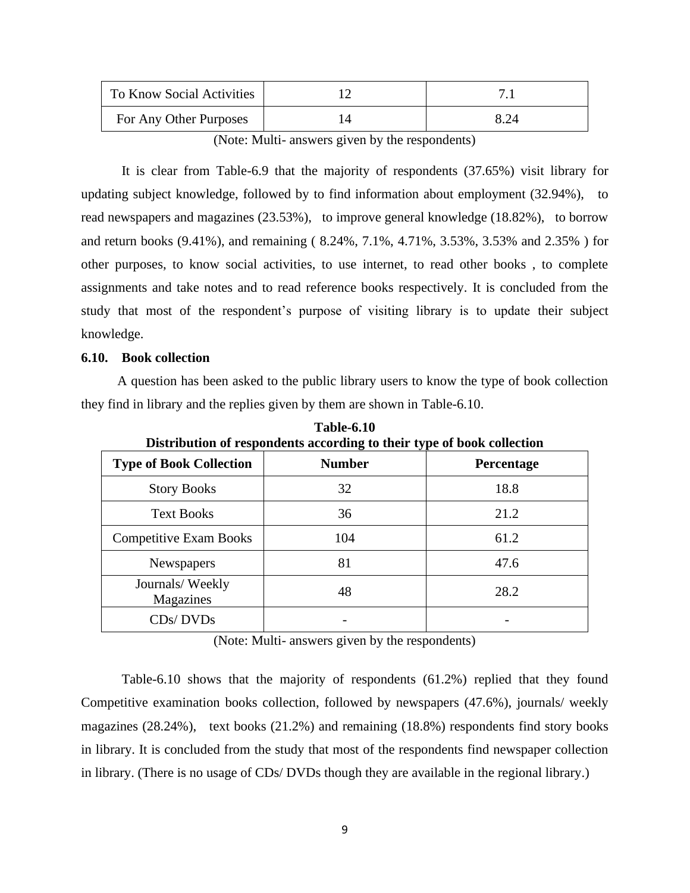| To Know Social Activities |  |
|---------------------------|--|
| For Any Other Purposes    |  |

(Note: Multi- answers given by the respondents)

It is clear from Table-6.9 that the majority of respondents (37.65%) visit library for updating subject knowledge, followed by to find information about employment (32.94%), to read newspapers and magazines (23.53%), to improve general knowledge (18.82%), to borrow and return books (9.41%), and remaining ( 8.24%, 7.1%, 4.71%, 3.53%, 3.53% and 2.35% ) for other purposes, to know social activities, to use internet, to read other books , to complete assignments and take notes and to read reference books respectively. It is concluded from the study that most of the respondent's purpose of visiting library is to update their subject knowledge.

#### **6.10. Book collection**

A question has been asked to the public library users to know the type of book collection they find in library and the replies given by them are shown in Table-6.10.

| Distribution of respondents according to their type of book collection |               |                   |
|------------------------------------------------------------------------|---------------|-------------------|
| <b>Type of Book Collection</b>                                         | <b>Number</b> | <b>Percentage</b> |
| <b>Story Books</b>                                                     | 32            | 18.8              |
| <b>Text Books</b>                                                      | 36            | 21.2              |
| <b>Competitive Exam Books</b>                                          | 104           | 61.2              |
| Newspapers                                                             | 81            | 47.6              |
| Journals/Weekly<br>Magazines                                           | 48            | 28.2              |
| CDs/DVDs                                                               |               |                   |

**Table-6.10 Distribution of respondents according to their type of book collection**

(Note: Multi- answers given by the respondents)

Table-6.10 shows that the majority of respondents (61.2%) replied that they found Competitive examination books collection, followed by newspapers (47.6%), journals/ weekly magazines (28.24%), text books (21.2%) and remaining (18.8%) respondents find story books in library. It is concluded from the study that most of the respondents find newspaper collection in library. (There is no usage of CDs/ DVDs though they are available in the regional library.)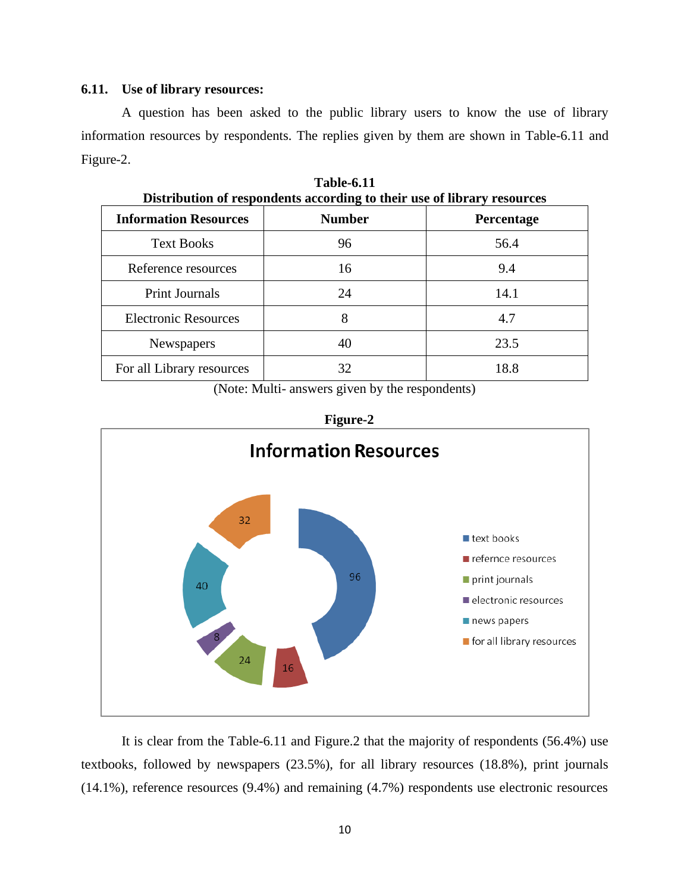#### **6.11. Use of library resources:**

A question has been asked to the public library users to know the use of library information resources by respondents. The replies given by them are shown in Table-6.11 and Figure-2.

| Distribution of respondents according to their use of horary resources |            |  |
|------------------------------------------------------------------------|------------|--|
| <b>Number</b>                                                          | Percentage |  |
| 96                                                                     | 56.4       |  |
| 16                                                                     | 9.4        |  |
| 24                                                                     | 14.1       |  |
| 8                                                                      | 4.7        |  |
| 40                                                                     | 23.5       |  |
| 32                                                                     | 18.8       |  |
|                                                                        |            |  |

**Table-6.11 Distribution of respondents according to their use of library resources**

(Note: Multi- answers given by the respondents)





It is clear from the Table-6.11 and Figure.2 that the majority of respondents (56.4%) use textbooks, followed by newspapers (23.5%), for all library resources (18.8%), print journals (14.1%), reference resources (9.4%) and remaining (4.7%) respondents use electronic resources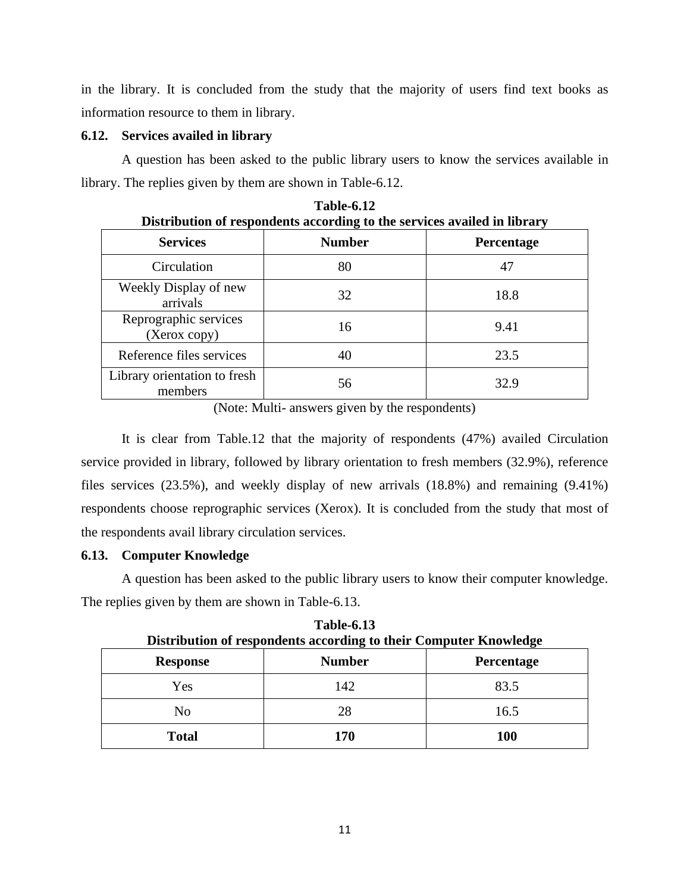in the library. It is concluded from the study that the majority of users find text books as information resource to them in library.

## **6.12. Services availed in library**

A question has been asked to the public library users to know the services available in library. The replies given by them are shown in Table-6.12.

| Distribution of respondents according to the services availed in library |               |                   |
|--------------------------------------------------------------------------|---------------|-------------------|
| <b>Services</b>                                                          | <b>Number</b> | <b>Percentage</b> |
| Circulation                                                              | 80            | 47                |
| Weekly Display of new<br>arrivals                                        | 32            | 18.8              |
| Reprographic services<br>(Xerox copy)                                    | 16            | 9.41              |
| Reference files services                                                 | 40            | 23.5              |
| Library orientation to fresh<br>members                                  | 56            | 32.9              |

**Table-6.12**

(Note: Multi- answers given by the respondents)

It is clear from Table.12 that the majority of respondents (47%) availed Circulation service provided in library, followed by library orientation to fresh members (32.9%), reference files services (23.5%), and weekly display of new arrivals (18.8%) and remaining (9.41%) respondents choose reprographic services (Xerox). It is concluded from the study that most of the respondents avail library circulation services.

## **6.13. Computer Knowledge**

A question has been asked to the public library users to know their computer knowledge. The replies given by them are shown in Table-6.13.

| Distribution of respondents according to their Computer Knowledge |               |                   |
|-------------------------------------------------------------------|---------------|-------------------|
| <b>Response</b>                                                   | <b>Number</b> | <b>Percentage</b> |
| Yes                                                               | 142           | 83.5              |
| No                                                                | 28            | 16.5              |
| <b>Total</b>                                                      | 170           | <b>100</b>        |

**Table-6.13**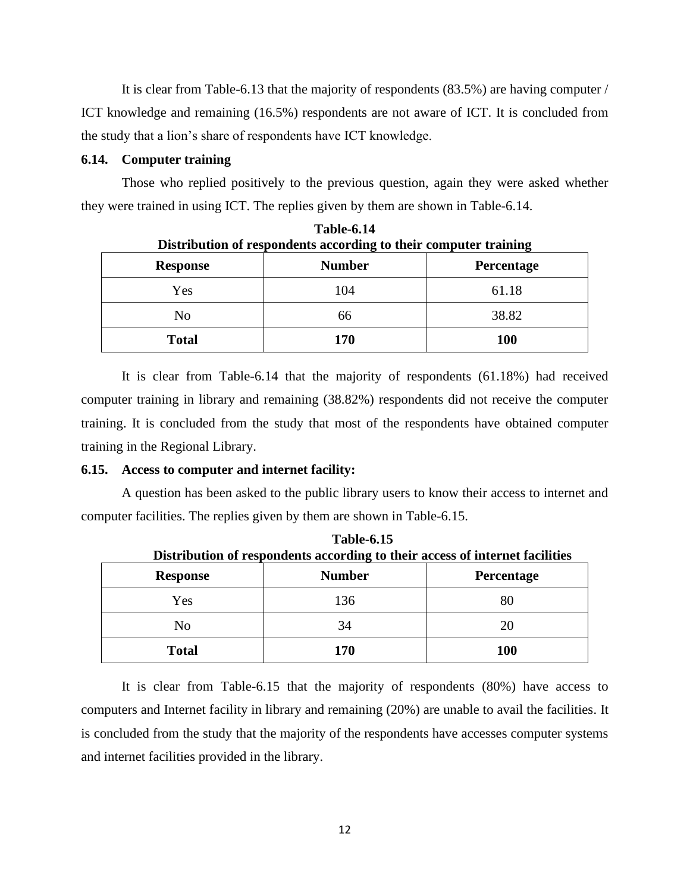It is clear from Table-6.13 that the majority of respondents (83.5%) are having computer / ICT knowledge and remaining (16.5%) respondents are not aware of ICT. It is concluded from the study that a lion's share of respondents have ICT knowledge.

#### **6.14. Computer training**

Those who replied positively to the previous question, again they were asked whether they were trained in using ICT. The replies given by them are shown in Table-6.14.

**Table-6.14**

| Distribution of respondents according to their computer training |               |                   |
|------------------------------------------------------------------|---------------|-------------------|
| <b>Response</b>                                                  | <b>Number</b> | <b>Percentage</b> |
| Yes                                                              | 104           | 61.18             |
| No                                                               | 66            | 38.82             |
| <b>Total</b>                                                     | 170           | <b>100</b>        |

It is clear from Table-6.14 that the majority of respondents (61.18%) had received computer training in library and remaining (38.82%) respondents did not receive the computer training. It is concluded from the study that most of the respondents have obtained computer training in the Regional Library.

#### **6.15. Access to computer and internet facility:**

A question has been asked to the public library users to know their access to internet and computer facilities. The replies given by them are shown in Table-6.15.

| TUDIE VIID<br>Distribution of respondents according to their access of internet facilities |               |                   |
|--------------------------------------------------------------------------------------------|---------------|-------------------|
| <b>Response</b>                                                                            | <b>Number</b> | <b>Percentage</b> |
| Yes                                                                                        | 136           | 80                |
| N <sub>0</sub>                                                                             | 34            | 20                |
| <b>Total</b>                                                                               | 170           | 100               |

**Table-6.15**

It is clear from Table-6.15 that the majority of respondents (80%) have access to computers and Internet facility in library and remaining (20%) are unable to avail the facilities. It is concluded from the study that the majority of the respondents have accesses computer systems and internet facilities provided in the library.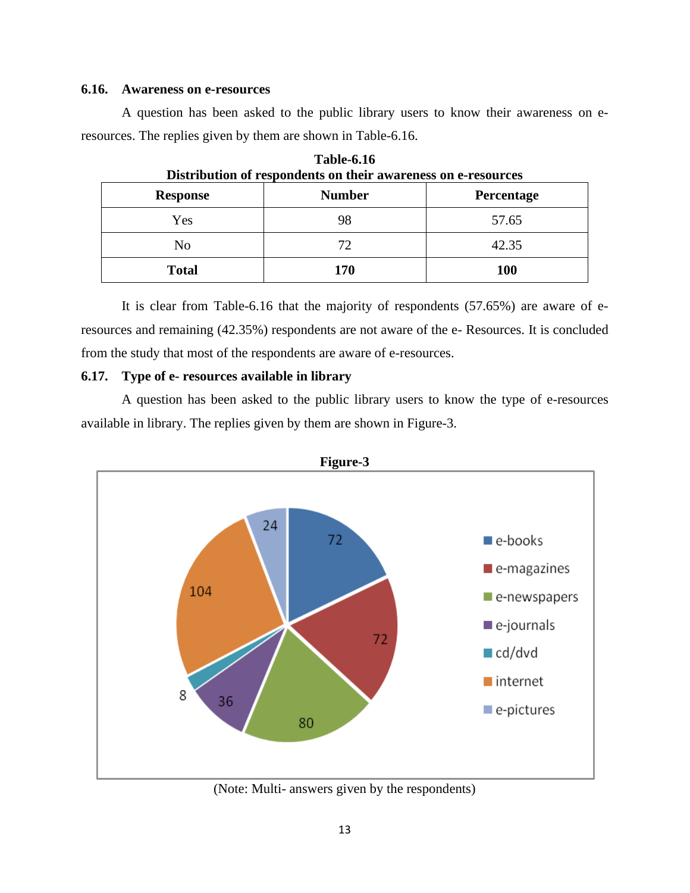#### **6.16. Awareness on e-resources**

A question has been asked to the public library users to know their awareness on eresources. The replies given by them are shown in Table-6.16.

| Distribution of respondents on their awareness on e-resources |               |                   |
|---------------------------------------------------------------|---------------|-------------------|
| <b>Response</b>                                               | <b>Number</b> | <b>Percentage</b> |
| Yes                                                           | 98            | 57.65             |
| No                                                            | 72            | 42.35             |
| <b>Total</b>                                                  | 170           | <b>100</b>        |

**Table-6.16 Distribution of respondents on their awareness on e-resources**

It is clear from Table-6.16 that the majority of respondents (57.65%) are aware of eresources and remaining (42.35%) respondents are not aware of the e- Resources. It is concluded from the study that most of the respondents are aware of e-resources.

#### **6.17. Type of e- resources available in library**

A question has been asked to the public library users to know the type of e-resources available in library. The replies given by them are shown in Figure-3.



(Note: Multi- answers given by the respondents)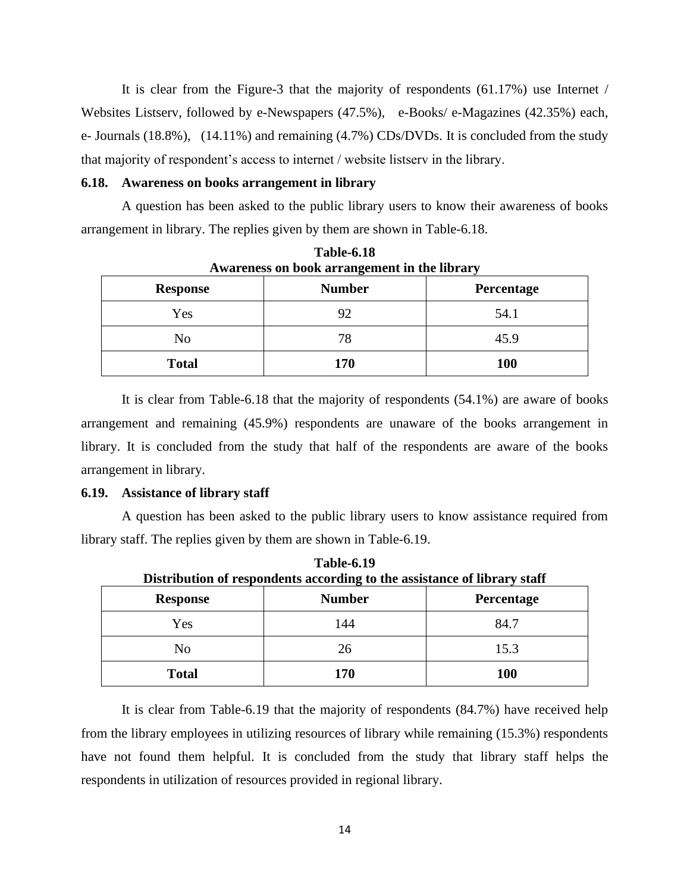It is clear from the Figure-3 that the majority of respondents (61.17%) use Internet / Websites Listserv, followed by e-Newspapers (47.5%), e-Books/ e-Magazines (42.35%) each, e- Journals (18.8%), (14.11%) and remaining (4.7%) CDs/DVDs. It is concluded from the study that majority of respondent's access to internet / website listserv in the library.

#### **6.18. Awareness on books arrangement in library**

A question has been asked to the public library users to know their awareness of books arrangement in library. The replies given by them are shown in Table-6.18.

| <b>Response</b> | <b>Number</b> | Percentage |
|-----------------|---------------|------------|
| Yes             | 92            | 54.1       |
| No              | 78            | 45.9       |
| <b>Total</b>    | 170           | 100        |

Table-6.18 **Awareness on book arrangement in the library**

It is clear from Table-6.18 that the majority of respondents (54.1%) are aware of books arrangement and remaining (45.9%) respondents are unaware of the books arrangement in library. It is concluded from the study that half of the respondents are aware of the books arrangement in library.

#### **6.19. Assistance of library staff**

A question has been asked to the public library users to know assistance required from library staff. The replies given by them are shown in Table-6.19.

**Table-6.19**

| Distribution of respondents according to the assistance of library staff |               |                   |
|--------------------------------------------------------------------------|---------------|-------------------|
| <b>Response</b>                                                          | <b>Number</b> | <b>Percentage</b> |
| Yes                                                                      | 144           | 84.7              |
| No                                                                       | 26            | 15.3              |
| <b>Total</b>                                                             | 170           | <b>100</b>        |

It is clear from Table-6.19 that the majority of respondents (84.7%) have received help from the library employees in utilizing resources of library while remaining (15.3%) respondents have not found them helpful. It is concluded from the study that library staff helps the respondents in utilization of resources provided in regional library.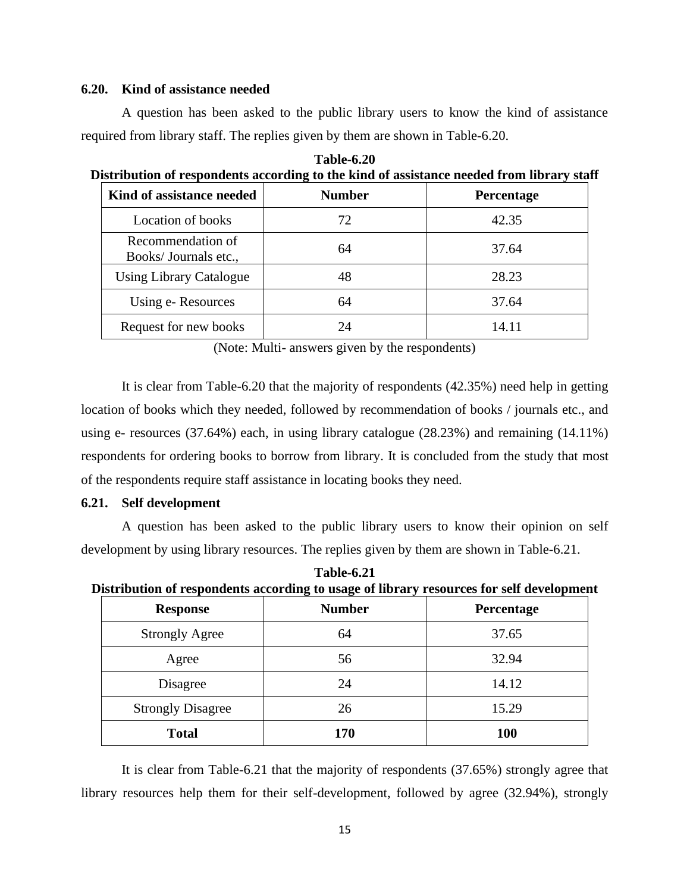#### **6.20. Kind of assistance needed**

A question has been asked to the public library users to know the kind of assistance required from library staff. The replies given by them are shown in Table-6.20.

| <b>Table-6.20</b>                                                                         |
|-------------------------------------------------------------------------------------------|
| Distribution of respondents according to the kind of assistance needed from library staff |
|                                                                                           |

| Kind of assistance needed                 | <b>Number</b> | Percentage |
|-------------------------------------------|---------------|------------|
| Location of books                         | 72            | 42.35      |
| Recommendation of<br>Books/Journals etc., | 64            | 37.64      |
| <b>Using Library Catalogue</b>            | 48            | 28.23      |
| Using e-Resources                         | 64            | 37.64      |
| Request for new books                     | 24            | 14.11      |

(Note: Multi- answers given by the respondents)

It is clear from Table-6.20 that the majority of respondents (42.35%) need help in getting location of books which they needed, followed by recommendation of books / journals etc., and using e- resources (37.64%) each, in using library catalogue (28.23%) and remaining (14.11%) respondents for ordering books to borrow from library. It is concluded from the study that most of the respondents require staff assistance in locating books they need.

### **6.21. Self development**

A question has been asked to the public library users to know their opinion on self development by using library resources. The replies given by them are shown in Table-6.21.

**Table-6.21 Distribution of respondents according to usage of library resources for self development**

| <b>Response</b>          | <b>Number</b> | Percentage |
|--------------------------|---------------|------------|
| <b>Strongly Agree</b>    | 64            | 37.65      |
| Agree                    | 56            | 32.94      |
| Disagree                 | 24            | 14.12      |
| <b>Strongly Disagree</b> | 26            | 15.29      |
| <b>Total</b>             | 170           | <b>100</b> |

It is clear from Table-6.21 that the majority of respondents (37.65%) strongly agree that library resources help them for their self-development, followed by agree (32.94%), strongly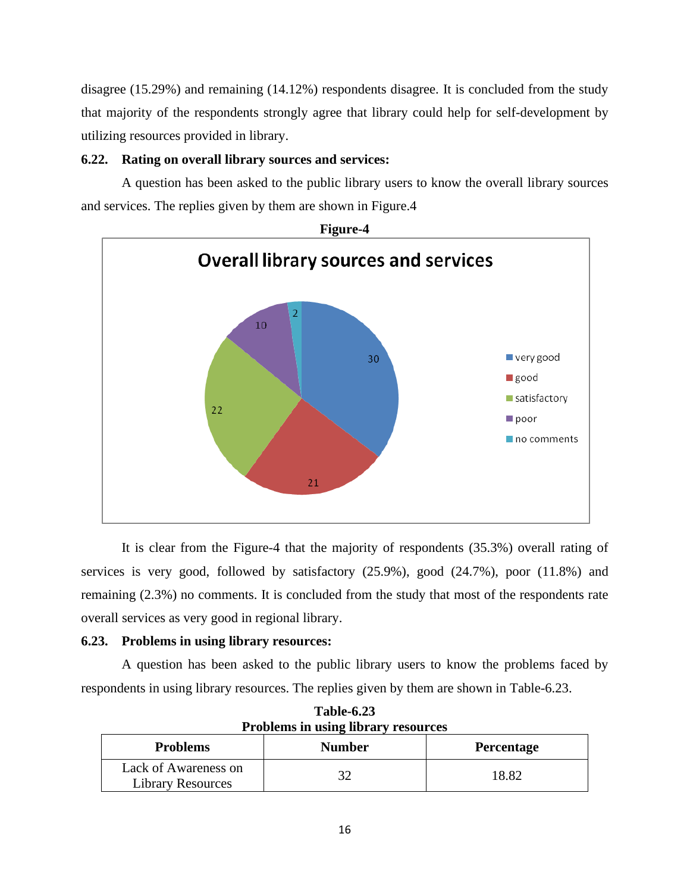disagree (15.29%) and remaining (14.12%) respondents disagree. It is concluded from the study that majority of the respondents strongly agree that library could help for self-development by utilizing resources provided in library.

## **6.22. Rating on overall library sources and services:**

A question has been asked to the public library users to know the overall library sources and services. The replies given by them are shown in Figure.4



It is clear from the Figure-4 that the majority of respondents (35.3%) overall rating of services is very good, followed by satisfactory (25.9%), good (24.7%), poor (11.8%) and remaining (2.3%) no comments. It is concluded from the study that most of the respondents rate overall services as very good in regional library.

## **6.23. Problems in using library resources:**

A question has been asked to the public library users to know the problems faced by respondents in using library resources. The replies given by them are shown in Table-6.23.

| I TODICINS IN USING NOTAL V TESOUTCES            |               |                   |
|--------------------------------------------------|---------------|-------------------|
| <b>Problems</b>                                  | <b>Number</b> | <b>Percentage</b> |
| Lack of Awareness on<br><b>Library Resources</b> | 32            | 18.82             |

**Table-6.23 Problems in using library resources**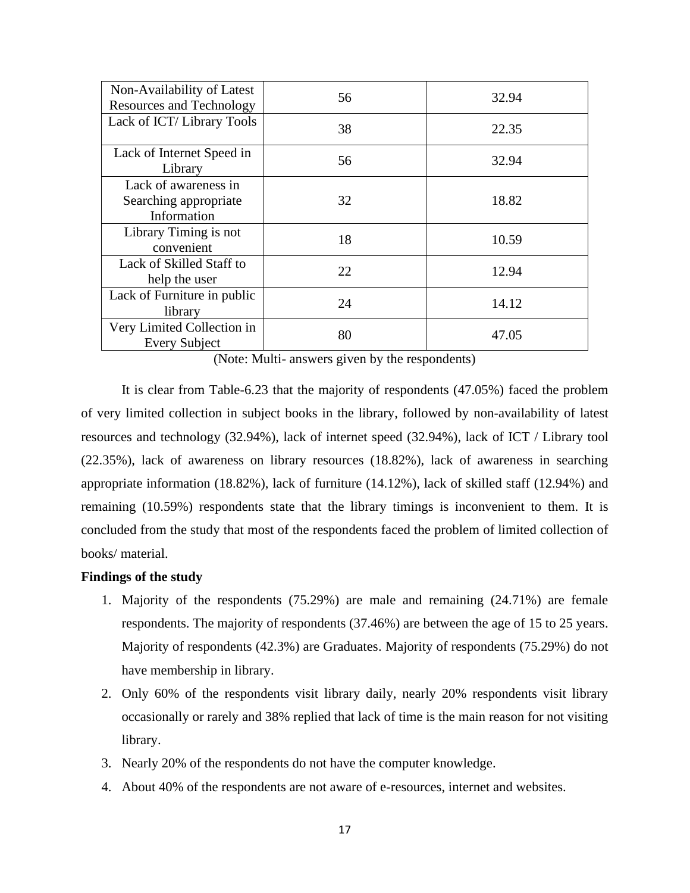| Non-Availability of Latest<br><b>Resources and Technology</b> | 56 | 32.94 |
|---------------------------------------------------------------|----|-------|
| Lack of ICT/Library Tools                                     | 38 | 22.35 |
| Lack of Internet Speed in<br>Library                          | 56 | 32.94 |
| Lack of awareness in<br>Searching appropriate<br>Information  | 32 | 18.82 |
| Library Timing is not<br>convenient                           | 18 | 10.59 |
| Lack of Skilled Staff to<br>help the user                     | 22 | 12.94 |
| Lack of Furniture in public<br>library                        | 24 | 14.12 |
| Very Limited Collection in<br><b>Every Subject</b>            | 80 | 47.05 |

(Note: Multi- answers given by the respondents)

It is clear from Table-6.23 that the majority of respondents (47.05%) faced the problem of very limited collection in subject books in the library, followed by non-availability of latest resources and technology (32.94%), lack of internet speed (32.94%), lack of ICT / Library tool (22.35%), lack of awareness on library resources (18.82%), lack of awareness in searching appropriate information (18.82%), lack of furniture (14.12%), lack of skilled staff (12.94%) and remaining (10.59%) respondents state that the library timings is inconvenient to them. It is concluded from the study that most of the respondents faced the problem of limited collection of books/ material.

## **Findings of the study**

- 1. Majority of the respondents (75.29%) are male and remaining (24.71%) are female respondents. The majority of respondents (37.46%) are between the age of 15 to 25 years. Majority of respondents (42.3%) are Graduates. Majority of respondents (75.29%) do not have membership in library.
- 2. Only 60% of the respondents visit library daily, nearly 20% respondents visit library occasionally or rarely and 38% replied that lack of time is the main reason for not visiting library.
- 3. Nearly 20% of the respondents do not have the computer knowledge.
- 4. About 40% of the respondents are not aware of e-resources, internet and websites.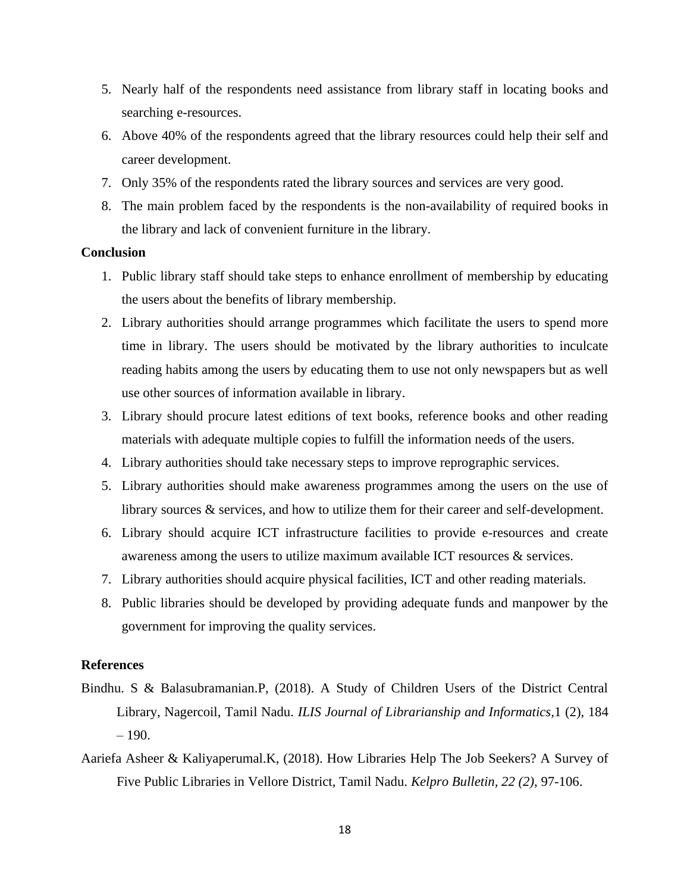- 5. Nearly half of the respondents need assistance from library staff in locating books and searching e-resources.
- 6. Above 40% of the respondents agreed that the library resources could help their self and career development.
- 7. Only 35% of the respondents rated the library sources and services are very good.
- 8. The main problem faced by the respondents is the non-availability of required books in the library and lack of convenient furniture in the library.

#### **Conclusion**

- 1. Public library staff should take steps to enhance enrollment of membership by educating the users about the benefits of library membership.
- 2. Library authorities should arrange programmes which facilitate the users to spend more time in library. The users should be motivated by the library authorities to inculcate reading habits among the users by educating them to use not only newspapers but as well use other sources of information available in library.
- 3. Library should procure latest editions of text books, reference books and other reading materials with adequate multiple copies to fulfill the information needs of the users.
- 4. Library authorities should take necessary steps to improve reprographic services.
- 5. Library authorities should make awareness programmes among the users on the use of library sources & services, and how to utilize them for their career and self-development.
- 6. Library should acquire ICT infrastructure facilities to provide e-resources and create awareness among the users to utilize maximum available ICT resources & services.
- 7. Library authorities should acquire physical facilities, ICT and other reading materials.
- 8. Public libraries should be developed by providing adequate funds and manpower by the government for improving the quality services.

#### **References**

- Bindhu. S & Balasubramanian.P, (2018). A Study of Children Users of the District Central Library, Nagercoil, Tamil Nadu. *ILIS Journal of Librarianship and Informatics,*1 (2), 184  $-190.$
- Aariefa Asheer & Kaliyaperumal.K, (2018). How Libraries Help The Job Seekers? A Survey of Five Public Libraries in Vellore District, Tamil Nadu. *Kelpro Bulletin, 22 (2)*, 97-106.